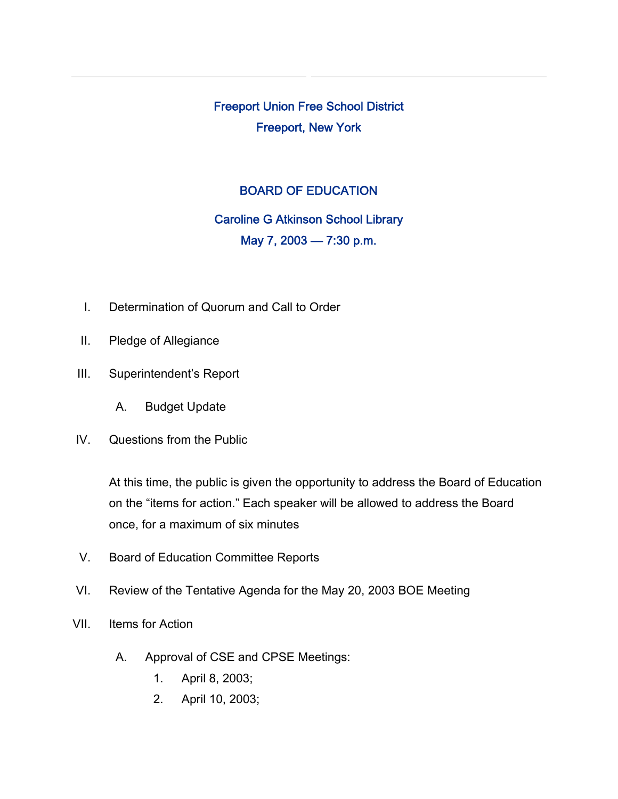Freeport Union Free School District Freeport, New York

## BOARD OF EDUCATION

## Caroline G Atkinson School Library May 7, 2003 — 7:30 p.m.

- I. Determination of Quorum and Call to Order
- II. Pledge of Allegiance
- III. Superintendent's Report
	- A. Budget Update
- IV. Questions from the Public

At this time, the public is given the opportunity to address the Board of Education on the "items for action." Each speaker will be allowed to address the Board once, for a maximum of six minutes

- V. Board of Education Committee Reports
- VI. Review of the Tentative Agenda for the May 20, 2003 BOE Meeting
- VII. Items for Action
	- A. Approval of CSE and CPSE Meetings:
		- 1. April 8, 2003;
		- 2. April 10, 2003;